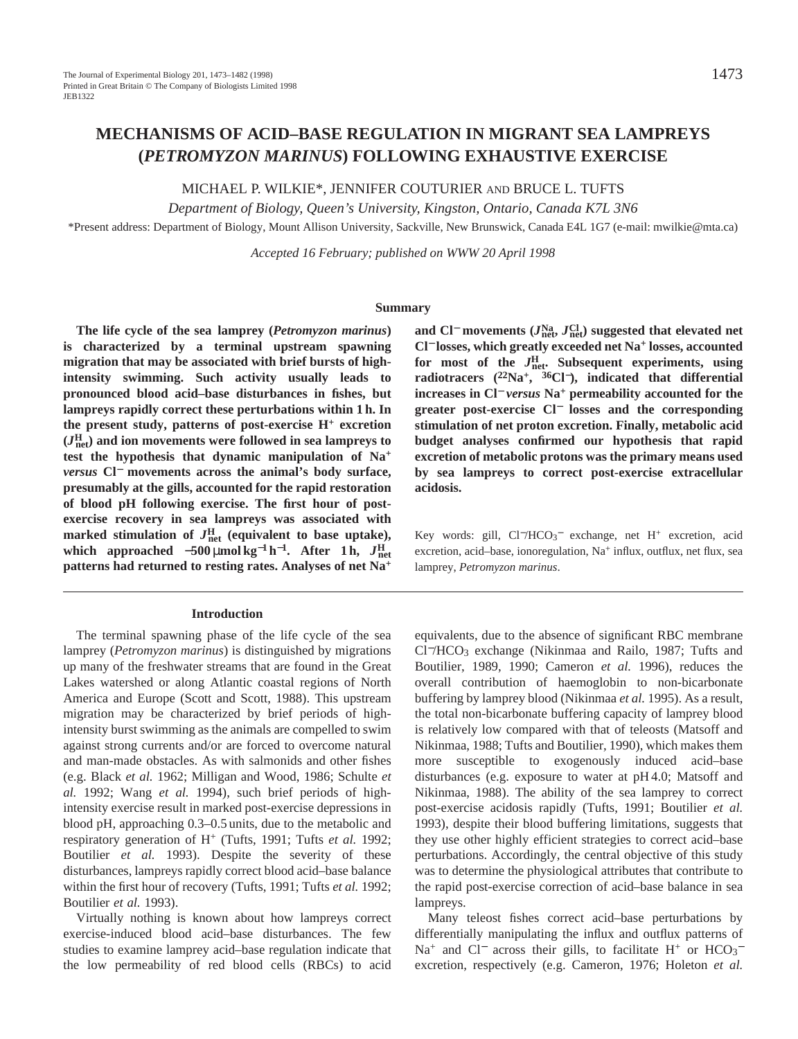MICHAEL P. WILKIE\*, JENNIFER COUTURIER AND BRUCE L. TUFTS

*Department of Biology, Queen's University, Kingston, Ontario, Canada K7L 3N6*

\*Present address: Department of Biology, Mount Allison University, Sackville, New Brunswick, Canada E4L 1G7 (e-mail: mwilkie@mta.ca)

*Accepted 16 February; published on WWW 20 April 1998*

#### **Summary**

**The life cycle of the sea lamprey (***Petromyzon marinus***) is characterized by a terminal upstream spawning migration that may be associated with brief bursts of highintensity swimming. Such activity usually leads to pronounced blood acid–base disturbances in fishes, but lampreys rapidly correct these perturbations within 1 h. In the present study, patterns of post-exercise H+ excretion (***J***<sup>H</sup> net) and ion movements were followed in sea lampreys to test the hypothesis that dynamic manipulation of Na+** *versus* **Cl**<sup>−</sup> **movements across the animal's body surface, presumably at the gills, accounted for the rapid restoration of blood pH following exercise. The first hour of postexercise recovery in sea lampreys was associated with** marked stimulation of  $J_{\text{net}}^{\text{H}}$  (equivalent to base uptake), **which approached −500** µ**mol kg<sup>−1</sup> <b>h**<sup>−1</sup>. After 1 **h**,  $J_{net}^{\rm H}$ **patterns had returned to resting rates. Analyses of net Na<sup>+</sup>**

#### **Introduction**

The terminal spawning phase of the life cycle of the sea lamprey (*Petromyzon marinus*) is distinguished by migrations up many of the freshwater streams that are found in the Great Lakes watershed or along Atlantic coastal regions of North America and Europe (Scott and Scott, 1988). This upstream migration may be characterized by brief periods of highintensity burst swimming as the animals are compelled to swim against strong currents and/or are forced to overcome natural and man-made obstacles. As with salmonids and other fishes (e.g. Black *et al.* 1962; Milligan and Wood, 1986; Schulte *et al.* 1992; Wang *et al.* 1994), such brief periods of highintensity exercise result in marked post-exercise depressions in blood pH, approaching 0.3–0.5 units, due to the metabolic and respiratory generation of H+ (Tufts, 1991; Tufts *et al.* 1992; Boutilier *et al.* 1993). Despite the severity of these disturbances, lampreys rapidly correct blood acid–base balance within the first hour of recovery (Tufts, 1991; Tufts *et al.* 1992; Boutilier *et al.* 1993).

Virtually nothing is known about how lampreys correct exercise-induced blood acid–base disturbances. The few studies to examine lamprey acid–base regulation indicate that the low permeability of red blood cells (RBCs) to acid

**and Cl**<sup>−</sup> **movements (***J***Na net,** *J***Cl net) suggested that elevated net Cl**<sup>−</sup> **losses, which greatly exceeded net Na<sup>+</sup> losses, accounted for most of the** *J***<sup>H</sup> net. Subsequent experiments, using radiotracers (22Na+, 36Cl**<sup>−</sup>**), indicated that differential increases in Cl**<sup>−</sup> *versus* **Na+ permeability accounted for the greater post-exercise Cl**<sup>−</sup> **losses and the corresponding stimulation of net proton excretion. Finally, metabolic acid budget analyses confirmed our hypothesis that rapid excretion of metabolic protons was the primary means used by sea lampreys to correct post-exercise extracellular acidosis.**

Key words: gill, Cl−/HCO3 <sup>−</sup> exchange, net H<sup>+</sup> excretion, acid excretion, acid–base, ionoregulation, Na<sup>+</sup> influx, outflux, net flux, sea lamprey, *Petromyzon marinus*.

equivalents, due to the absence of significant RBC membrane Cl−/HCO3 exchange (Nikinmaa and Railo, 1987; Tufts and Boutilier, 1989, 1990; Cameron *et al.* 1996), reduces the overall contribution of haemoglobin to non-bicarbonate buffering by lamprey blood (Nikinmaa *et al.* 1995). As a result, the total non-bicarbonate buffering capacity of lamprey blood is relatively low compared with that of teleosts (Matsoff and Nikinmaa, 1988; Tufts and Boutilier, 1990), which makes them more susceptible to exogenously induced acid–base disturbances (e.g. exposure to water at pH 4.0; Matsoff and Nikinmaa, 1988). The ability of the sea lamprey to correct post-exercise acidosis rapidly (Tufts, 1991; Boutilier *et al.* 1993), despite their blood buffering limitations, suggests that they use other highly efficient strategies to correct acid–base perturbations. Accordingly, the central objective of this study was to determine the physiological attributes that contribute to the rapid post-exercise correction of acid–base balance in sea lampreys.

Many teleost fishes correct acid–base perturbations by differentially manipulating the influx and outflux patterns of Na<sup>+</sup> and Cl<sup>−</sup> across their gills, to facilitate H<sup>+</sup> or HCO<sub>3</sub><sup>-</sup> excretion, respectively (e.g. Cameron, 1976; Holeton *et al.*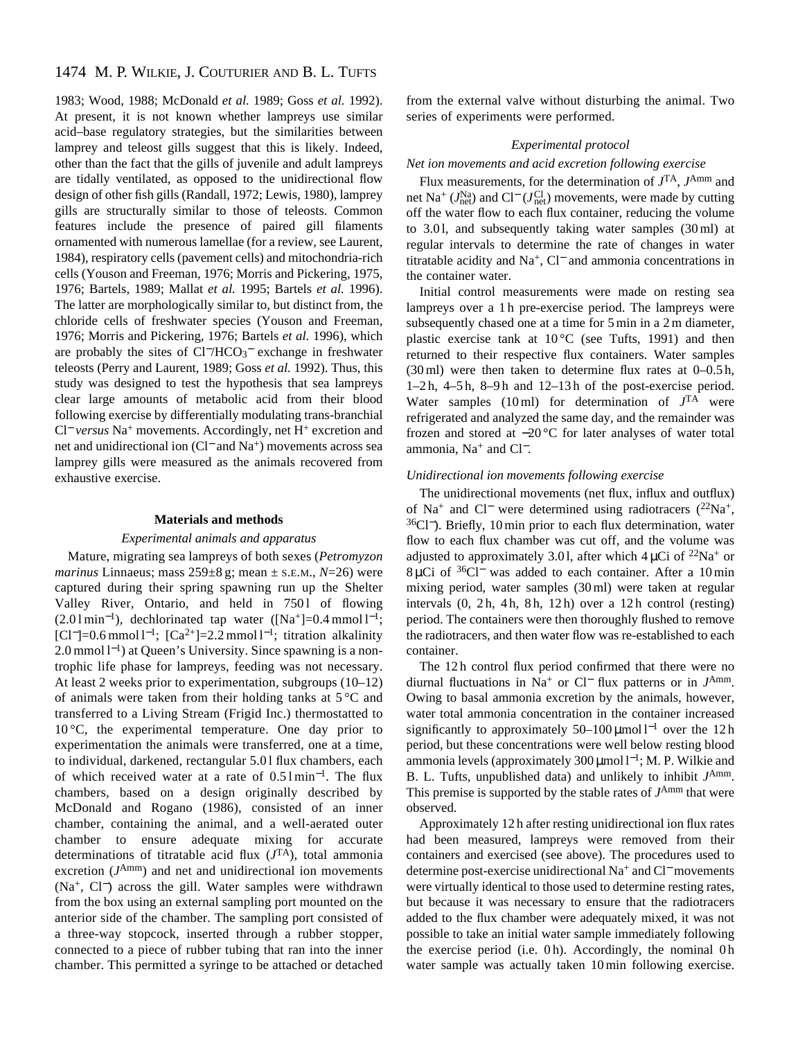1983; Wood, 1988; McDonald *et al.* 1989; Goss *et al.* 1992). At present, it is not known whether lampreys use similar acid–base regulatory strategies, but the similarities between lamprey and teleost gills suggest that this is likely. Indeed, other than the fact that the gills of juvenile and adult lampreys are tidally ventilated, as opposed to the unidirectional flow design of other fish gills (Randall, 1972; Lewis, 1980), lamprey gills are structurally similar to those of teleosts. Common features include the presence of paired gill filaments ornamented with numerous lamellae (for a review, see Laurent, 1984), respiratory cells (pavement cells) and mitochondria-rich cells (Youson and Freeman, 1976; Morris and Pickering, 1975, 1976; Bartels, 1989; Mallat *et al.* 1995; Bartels *et al.* 1996). The latter are morphologically similar to, but distinct from, the chloride cells of freshwater species (Youson and Freeman, 1976; Morris and Pickering, 1976; Bartels *et al.* 1996), which are probably the sites of Cl<sup>-</sup>/HCO<sub>3</sub><sup>−</sup> exchange in freshwater teleosts (Perry and Laurent, 1989; Goss *et al.* 1992). Thus, this study was designed to test the hypothesis that sea lampreys clear large amounts of metabolic acid from their blood following exercise by differentially modulating trans-branchial Cl<sup>−</sup> *versus* Na+ movements. Accordingly, net H<sup>+</sup> excretion and net and unidirectional ion (Cl<sup>−</sup> and Na<sup>+</sup>) movements across sea lamprey gills were measured as the animals recovered from exhaustive exercise.

#### **Materials and methods**

#### *Experimental animals and apparatus*

Mature, migrating sea lampreys of both sexes (*Petromyzon marinus* Linnaeus; mass  $259\pm8$  g; mean  $\pm$  s.e.m.,  $N=26$ ) were captured during their spring spawning run up the Shelter Valley River, Ontario, and held in 7501 of flowing  $(2.01 \text{min}^{-1})$ , dechlorinated tap water  $(Na^+]=0.4 \text{ mmol } 1^{-1}$ ;  $[C1^-]=0.6$  mmol  $1^{-1}$ ;  $[Ca^{2+}]=2.2$  mmol  $1^{-1}$ ; titration alkalinity 2.0 mmol l<sup>-1</sup>) at Queen's University. Since spawning is a nontrophic life phase for lampreys, feeding was not necessary. At least 2 weeks prior to experimentation, subgroups (10–12) of animals were taken from their holding tanks at 5 °C and transferred to a Living Stream (Frigid Inc.) thermostatted to  $10^{\circ}$ C, the experimental temperature. One day prior to experimentation the animals were transferred, one at a time, to individual, darkened, rectangular 5.0 l flux chambers, each of which received water at a rate of 0.5 l min<sup>−</sup>1. The flux chambers, based on a design originally described by McDonald and Rogano (1986), consisted of an inner chamber, containing the animal, and a well-aerated outer chamber to ensure adequate mixing for accurate determinations of titratable acid flux (*J*TA), total ammonia excretion (*J*Amm) and net and unidirectional ion movements (Na+, Cl<sup>−</sup>) across the gill. Water samples were withdrawn from the box using an external sampling port mounted on the anterior side of the chamber. The sampling port consisted of a three-way stopcock, inserted through a rubber stopper, connected to a piece of rubber tubing that ran into the inner chamber. This permitted a syringe to be attached or detached

from the external valve without disturbing the animal. Two series of experiments were performed.

## *Experimental protocol*

## *Net ion movements and acid excretion following exercise*

Flux measurements, for the determination of *J*TA, *J*Amm and net Na<sup>+</sup> (*J*<sup>Na</sup>) and Cl<sup>−</sup> (*J*<sup>Cl</sup><sub>net</sub>) movements, were made by cutting off the water flow to each flux container, reducing the volume to 3.01, and subsequently taking water samples  $(30 \text{ ml})$  at regular intervals to determine the rate of changes in water titratable acidity and Na+, Cl<sup>−</sup> and ammonia concentrations in the container water.

Initial control measurements were made on resting sea lampreys over a 1 h pre-exercise period. The lampreys were subsequently chased one at a time for 5 min in a 2 m diameter, plastic exercise tank at  $10^{\circ}$ C (see Tufts, 1991) and then returned to their respective flux containers. Water samples (30 ml) were then taken to determine flux rates at 0–0.5 h, 1–2 h, 4–5 h, 8–9 h and 12–13 h of the post-exercise period. Water samples  $(10 \text{ ml})$  for determination of  $J<sup>TA</sup>$  were refrigerated and analyzed the same day, and the remainder was frozen and stored at −20 °C for later analyses of water total ammonia, Na<sup>+</sup> and Cl−.

## *Unidirectional ion movements following exercise*

The unidirectional movements (net flux, influx and outflux) of Na+ and Cl<sup>−</sup> were determined using radiotracers (22Na+, 36Cl<sup>−</sup>). Briefly, 10 min prior to each flux determination, water flow to each flux chamber was cut off, and the volume was adjusted to approximately 3.01, after which  $4 \mu$ Ci of  $22$ Na<sup>+</sup> or 8 µCi of 36Cl<sup>−</sup> was added to each container. After a 10 min mixing period, water samples (30 ml) were taken at regular intervals  $(0, 2h, 4h, 8h, 12h)$  over a  $12h$  control (resting) period. The containers were then thoroughly flushed to remove the radiotracers, and then water flow was re-established to each container.

The 12 h control flux period confirmed that there were no diurnal fluctuations in Na<sup>+</sup> or Cl<sup>−</sup> flux patterns or in *J*Amm. Owing to basal ammonia excretion by the animals, however, water total ammonia concentration in the container increased significantly to approximately  $50-100 \mu$ mol l<sup>-1</sup> over the 12 h period, but these concentrations were well below resting blood ammonia levels (approximately 300 µmol l<sup>−</sup>1; M. P. Wilkie and B. L. Tufts, unpublished data) and unlikely to inhibit *J*Amm. This premise is supported by the stable rates of *J*Amm that were observed.

Approximately 12 h after resting unidirectional ion flux rates had been measured, lampreys were removed from their containers and exercised (see above). The procedures used to determine post-exercise unidirectional Na+ and Cl<sup>−</sup> movements were virtually identical to those used to determine resting rates, but because it was necessary to ensure that the radiotracers added to the flux chamber were adequately mixed, it was not possible to take an initial water sample immediately following the exercise period (i.e. 0h). Accordingly, the nominal 0h water sample was actually taken 10 min following exercise.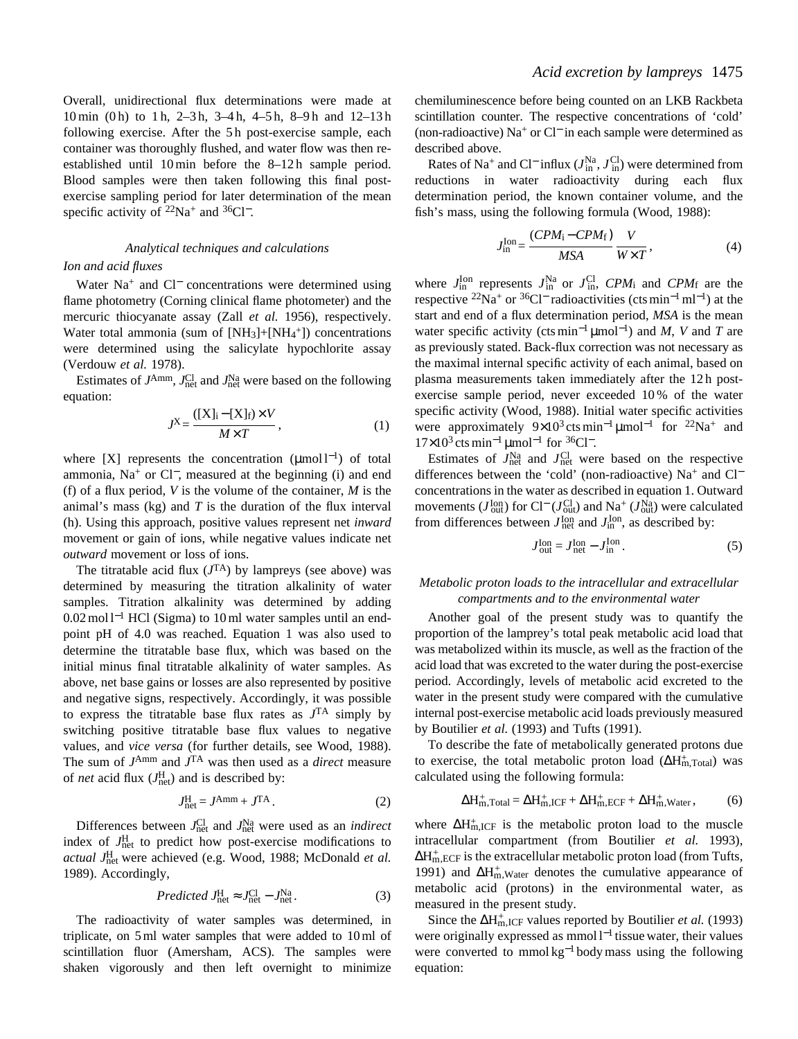Overall, unidirectional flux determinations were made at 10 min (0 h) to 1 h, 2–3 h, 3–4 h, 4–5 h, 8–9 h and 12–13 h following exercise. After the 5h post-exercise sample, each container was thoroughly flushed, and water flow was then reestablished until 10 min before the 8–12h sample period. Blood samples were then taken following this final postexercise sampling period for later determination of the mean specific activity of <sup>22</sup>Na<sup>+</sup> and <sup>36</sup>Cl<sup>−</sup>.

## *Analytical techniques and calculations*

#### *Ion and acid fluxes*

Water Na<sup>+</sup> and Cl<sup>−</sup> concentrations were determined using flame photometry (Corning clinical flame photometer) and the mercuric thiocyanate assay (Zall *et al.* 1956), respectively. Water total ammonia (sum of  $[NH<sub>3</sub>]+[NH<sub>4</sub><sup>+</sup>])$  concentrations were determined using the salicylate hypochlorite assay (Verdouw *et al.* 1978).

Estimates of  $J^{\text{Amm}}$ ,  $J^{\text{Cl}}_{\text{net}}$  and  $J^{\text{Na}}_{\text{net}}$  were based on the following equation:

$$
J^{\mathbf{X}} = \frac{([X]_i - [X]_f) \times V}{M \times T}, \qquad (1)
$$

where  $[X]$  represents the concentration (µmol l<sup>-1</sup>) of total ammonia, Na+ or Cl−, measured at the beginning (i) and end (f) of a flux period, *V* is the volume of the container, *M* is the animal's mass (kg) and *T* is the duration of the flux interval (h). Using this approach, positive values represent net *inward* movement or gain of ions, while negative values indicate net *outward* movement or loss of ions.

The titratable acid flux  $(J<sup>TA</sup>)$  by lampreys (see above) was determined by measuring the titration alkalinity of water samples. Titration alkalinity was determined by adding 0.02 mol l−<sup>1</sup> HCl (Sigma) to 10 ml water samples until an endpoint pH of 4.0 was reached. Equation 1 was also used to determine the titratable base flux, which was based on the initial minus final titratable alkalinity of water samples. As above, net base gains or losses are also represented by positive and negative signs, respectively. Accordingly, it was possible to express the titratable base flux rates as  $J<sup>TA</sup>$  simply by switching positive titratable base flux values to negative values, and *vice versa* (for further details, see Wood, 1988). The sum of *J*Amm and *J*TA was then used as a *direct* measure of *net* acid flux  $(J_{\text{net}}^H)$  and is described by:

$$
J_{\text{net}}^{\text{H}} = J^{\text{Amm}} + J^{\text{TA}}.
$$
 (2)

Differences between  $J_{\text{net}}^{\text{Cl}}$  and  $J_{\text{net}}^{\text{Na}}$  were used as an *indirect* index of  $J_{\text{net}}^{\text{H}}$  to predict how post-exercise modifications to *actual J*<sup>H</sup> net were achieved (e.g. Wood, 1988; McDonald *et al.* 1989). Accordingly,

$$
Predicted J_{net}^{H} \approx J_{net}^{Cl} - J_{net}^{Na}.
$$
 (3)

The radioactivity of water samples was determined, in triplicate, on 5 ml water samples that were added to 10 ml of scintillation fluor (Amersham, ACS). The samples were shaken vigorously and then left overnight to minimize

chemiluminescence before being counted on an LKB Rackbeta scintillation counter. The respective concentrations of 'cold' (non-radioactive) Na+ or Cl<sup>−</sup> in each sample were determined as described above.

Rates of Na<sup>+</sup> and Cl<sup>-</sup> influx ( $J_{\text{in}}^{\text{Na}}$ ,  $J_{\text{in}}^{\text{Cl}}$ ) were determined from reductions in water radioactivity during each flux determination period, the known container volume, and the fish's mass, using the following formula (Wood, 1988):

$$
J_{\text{in}}^{\text{Ion}} = \frac{(CPM_i - CPM_f)}{MSA} \frac{V}{W \times T},
$$
\n(4)

where  $J_{\text{in}}^{\text{Ion}}$  represents  $J_{\text{in}}^{\text{Na}}$  or  $J_{\text{in}}^{\text{Cl}}$ ,  $CPM_1$  and  $CPM_f$  are the respective <sup>22</sup>Na<sup>+</sup> or <sup>36</sup>Cl<sup>−</sup> radioactivities (cts min<sup>-1</sup> ml<sup>-1</sup>) at the start and end of a flux determination period, *MSA* is the mean water specific activity (cts min−<sup>1</sup> µmol<sup>−</sup>1) and *M*, *V* and *T* are as previously stated. Back-flux correction was not necessary as the maximal internal specific activity of each animal, based on plasma measurements taken immediately after the 12 h postexercise sample period, never exceeded 10 % of the water specific activity (Wood, 1988). Initial water specific activities were approximately 9×10<sup>3</sup> cts min<sup>-1</sup> μmol<sup>-1</sup> for <sup>22</sup>Na<sup>+</sup> and 17×10<sup>3</sup> cts min<sup>-1</sup> µmol<sup>-1</sup> for <sup>36</sup>Cl<sup>-</sup>.

Estimates of  $J_{\text{net}}^{\text{Na}}$  and  $J_{\text{net}}^{\text{Cl}}$  were based on the respective differences between the 'cold' (non-radioactive) Na<sup>+</sup> and Cl<sup>−</sup> concentrations in the water as described in equation 1. Outward movements (*J*<sup>Ion</sup></sup>) for Cl<sup>−</sup> (*J*<sup>Cl</sup><sub>Out</sub>) and Na<sup>+</sup> (*J*<sup>Na</sup><sub>Out</sub>) were calculated from differences between  $J_{\text{net}}^{\text{Ion}}$  and  $J_{\text{in}}^{\text{Ion}}$ , as described by:

$$
J_{\text{out}}^{\text{Ion}} = J_{\text{net}}^{\text{Ion}} - J_{\text{in}}^{\text{Ion}}.
$$
 (5)

## *Metabolic proton loads to the intracellular and extracellular compartments and to the environmental water*

Another goal of the present study was to quantify the proportion of the lamprey's total peak metabolic acid load that was metabolized within its muscle, as well as the fraction of the acid load that was excreted to the water during the post-exercise period. Accordingly, levels of metabolic acid excreted to the water in the present study were compared with the cumulative internal post-exercise metabolic acid loads previously measured by Boutilier *et al.* (1993) and Tufts (1991).

To describe the fate of metabolically generated protons due to exercise, the total metabolic proton load  $(\Delta H_{m,Total}^+)$  was calculated using the following formula:

$$
\Delta H_{m,Total}^{+} = \Delta H_{m,ICF}^{+} + \Delta H_{m,ECF}^{+} + \Delta H_{m,Water}^{+}, \tag{6}
$$

where ∆H<sup>+</sup><sub>m,ICF</sub> is the metabolic proton load to the muscle intracellular compartment (from Boutilier *et al.* 1993),  $\Delta H_{\text{m,ECF}}^{\text{+}}$  is the extracellular metabolic proton load (from Tufts, 1991) and ∆H<sup>+</sup><sub>m</sub>, Water denotes the cumulative appearance of metabolic acid (protons) in the environmental water, as measured in the present study.

Since the  $\Delta H_{m,\text{ICF}}^+$  values reported by Boutilier *et al.* (1993) were originally expressed as mmol l<sup>-1</sup> tissue water, their values were converted to mmol kg<sup>-1</sup> body mass using the following equation: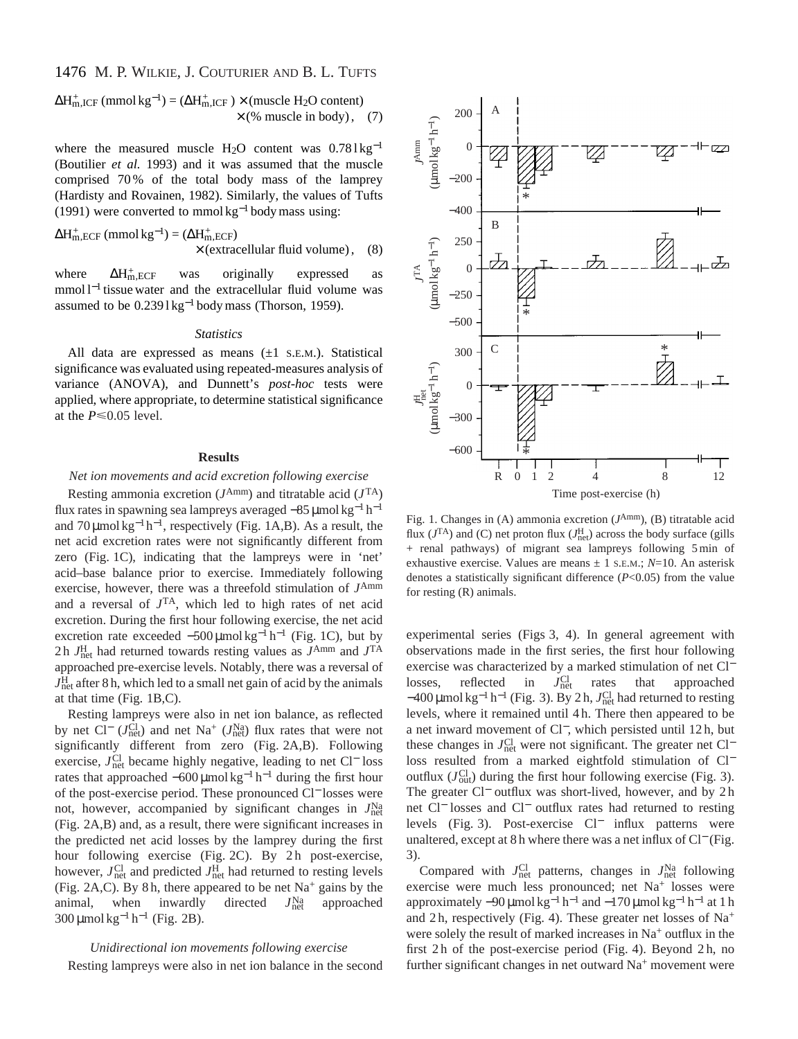$\Delta H_{m,ICF}^+$  (mmol kg<sup>-1</sup>) = ( $\Delta H_{m,ICF}^+$ ) × (muscle H<sub>2</sub>O content)  $\times$  (% muscle in body), (7)

where the measured muscle H<sub>2</sub>O content was  $0.781 \text{kg}^{-1}$ (Boutilier *et al.* 1993) and it was assumed that the muscle comprised 70 % of the total body mass of the lamprey (Hardisty and Rovainen, 1982). Similarly, the values of Tufts (1991) were converted to mmol  $kg^{-1}$  body mass using:

$$
\Delta H_{\text{m,ECF}}^{+} \text{ (mmol kg}^{-1}) = (\Delta H_{\text{m,ECF}}^{+})
$$
  
× (extracellular fluid volume), (8)

where  $\Delta H_{m,ECF}^{+}$ was originally expressed as mmol l<sup>-1</sup> tissue water and the extracellular fluid volume was assumed to be 0.239 l kg−<sup>1</sup> body mass (Thorson, 1959).

#### *Statistics*

All data are expressed as means  $(\pm 1 \text{ s.E.M.})$ . Statistical significance was evaluated using repeated-measures analysis of variance (ANOVA), and Dunnett's *post-hoc* tests were applied, where appropriate, to determine statistical significance at the  $P \le 0.05$  level.

## **Results**

### *Net ion movements and acid excretion following exercise*

Resting ammonia excretion  $(J<sup>Amm</sup>)$  and titratable acid  $(J<sup>TA</sup>)$ flux rates in spawning sea lampreys averaged −85µmol kg−<sup>1</sup> h−<sup>1</sup> and 70 µmol kg<sup>-1</sup> h<sup>-1</sup>, respectively (Fig. 1A,B). As a result, the net acid excretion rates were not significantly different from zero (Fig. 1C), indicating that the lampreys were in 'net' acid–base balance prior to exercise. Immediately following exercise, however, there was a threefold stimulation of *J*Amm and a reversal of *J*TA, which led to high rates of net acid excretion. During the first hour following exercise, the net acid excretion rate exceeded  $-500 \mu$ mol kg<sup>-1</sup> h<sup>-1</sup> (Fig. 1C), but by 2 h *J*<sup>H</sup> net had returned towards resting values as *J*Amm and *J*TA approached pre-exercise levels. Notably, there was a reversal of *J*H net after 8 h, which led to a small net gain of acid by the animals at that time (Fig. 1B,C).

Resting lampreys were also in net ion balance, as reflected by net Cl<sup>−</sup> (*J*<sup>Cl</sup><sub>net</sub>) and net Na<sup>+</sup> (*J*<sup>Na</sup><sub>net</sub>) flux rates that were not significantly different from zero (Fig. 2A,B). Following exercise, *J*<sup>Cl</sup><sub>net</sub> became highly negative, leading to net Cl<sup>−</sup> loss rates that approached  $-600 \mu$ mol kg<sup>-1</sup> h<sup>-1</sup> during the first hour of the post-exercise period. These pronounced Cl<sup>−</sup> losses were not, however, accompanied by significant changes in  $J<sub>net</sub><sup>Na</sup>$ (Fig. 2A,B) and, as a result, there were significant increases in the predicted net acid losses by the lamprey during the first hour following exercise (Fig. 2C). By 2h post-exercise, however,  $J_{\text{net}}^{\text{Cl}}$  and predicted  $J_{\text{net}}^{\text{H}}$  had returned to resting levels (Fig. 2A,C). By 8h, there appeared to be net  $Na<sup>+</sup>$  gains by the animal, when inwardly directed  $J_{\text{net}}^{\text{Na}}$ approached  $300 \mu$ mol kg<sup>-1</sup> h<sup>-1</sup> (Fig. 2B).

#### *Unidirectional ion movements following exercise*

Resting lampreys were also in net ion balance in the second



Fig. 1. Changes in (A) ammonia excretion (*J*Amm), (B) titratable acid flux ( $J<sup>TA</sup>$ ) and (C) net proton flux ( $J<sup>H</sup><sub>net</sub>$ ) across the body surface (gills + renal pathways) of migrant sea lampreys following 5 min of exhaustive exercise. Values are means  $\pm$  1 s.E.M.;  $N=10$ . An asterisk denotes a statistically significant difference (*P*<0.05) from the value for resting (R) animals.

experimental series (Figs 3, 4). In general agreement with observations made in the first series, the first hour following exercise was characterized by a marked stimulation of net Cl<sup>−</sup> losses, reflected in  $J_{\text{net}}^{\text{Cl}}$ rates that approached −400 μmol kg<sup>-1</sup> h<sup>-1</sup> (Fig. 3). By 2 h, *J*<sup>Cl</sup><sub>net</sub> had returned to resting levels, where it remained until 4 h. There then appeared to be a net inward movement of Cl−, which persisted until 12 h, but these changes in  $J_{\text{net}}^{\text{Cl}}$  were not significant. The greater net Cl<sup>−</sup> loss resulted from a marked eightfold stimulation of Cl<sup>−</sup> outflux  $(J<sub>out</sub><sup>Cl</sup>)$  during the first hour following exercise (Fig. 3). The greater Cl<sup>−</sup> outflux was short-lived, however, and by 2 h net Cl<sup>−</sup> losses and Cl<sup>−</sup> outflux rates had returned to resting levels (Fig. 3). Post-exercise Cl<sup>−</sup> influx patterns were unaltered, except at 8 h where there was a net influx of Cl<sup>−</sup> (Fig. 3).

Compared with  $J_{\text{net}}^{\text{Cl}}$  patterns, changes in  $J_{\text{net}}^{\text{Na}}$  following exercise were much less pronounced; net Na<sup>+</sup> losses were approximately  $-90 \mu$ mol kg<sup>-1</sup> h<sup>-1</sup> and  $-170 \mu$ mol kg<sup>-1</sup> h<sup>-1</sup> at 1 h and 2 h, respectively (Fig. 4). These greater net losses of  $Na<sup>+</sup>$ were solely the result of marked increases in Na<sup>+</sup> outflux in the first 2 h of the post-exercise period (Fig. 4). Beyond 2 h, no further significant changes in net outward Na<sup>+</sup> movement were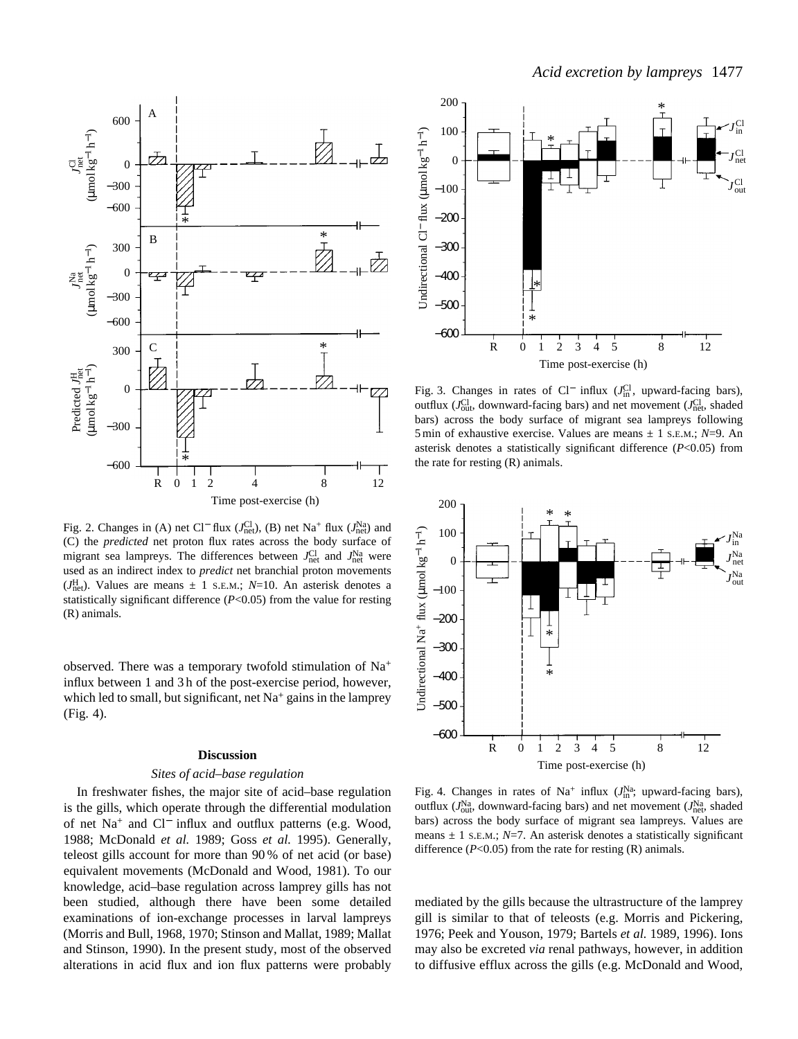

Fig. 2. Changes in (A) net Cl<sup>-</sup> flux ( $J_{\text{net}}^{Cl}$ ), (B) net Na<sup>+</sup> flux ( $J_{\text{net}}^{Na}$ ) and (C) the *predicted* net proton flux rates across the body surface of migrant sea lampreys. The differences between  $J_{\text{net}}^{\text{Cl}}$  and  $J_{\text{net}}^{\text{Na}}$  were used as an indirect index to *predict* net branchial proton movements  $(J_{\text{net}}^H)$ . Values are means  $\pm$  1 s.E.M.; *N*=10. An asterisk denotes a statistically significant difference (*P*<0.05) from the value for resting (R) animals.

observed. There was a temporary twofold stimulation of Na+ influx between 1 and 3 h of the post-exercise period, however, which led to small, but significant, net  $Na<sup>+</sup>$  gains in the lamprey (Fig. 4).

### **Discussion**

#### *Sites of acid–base regulation*

In freshwater fishes, the major site of acid–base regulation is the gills, which operate through the differential modulation of net Na+ and Cl<sup>−</sup> influx and outflux patterns (e.g. Wood, 1988; McDonald *et al.* 1989; Goss *et al.* 1995). Generally, teleost gills account for more than 90 % of net acid (or base) equivalent movements (McDonald and Wood, 1981). To our knowledge, acid–base regulation across lamprey gills has not been studied, although there have been some detailed examinations of ion-exchange processes in larval lampreys (Morris and Bull, 1968, 1970; Stinson and Mallat, 1989; Mallat and Stinson, 1990). In the present study, most of the observed alterations in acid flux and ion flux patterns were probably



Fig. 3. Changes in rates of Cl<sup>−</sup> influx ( $J_{\text{in}}^{\text{Cl}}$ , upward-facing bars), outflux (*J*<sup>Cl</sup><sub>out</sub>, downward-facing bars) and net movement (*J*<sup>Cl</sup><sub>net</sub>, shaded bars) across the body surface of migrant sea lampreys following 5 min of exhaustive exercise. Values are means  $\pm$  1 s.E.M.;  $N=9$ . An asterisk denotes a statistically significant difference (*P*<0.05) from the rate for resting (R) animals.



Fig. 4. Changes in rates of Na<sup>+</sup> influx  $(J_{\text{in}}^{Na}$ ; upward-facing bars), outflux (*J*<sup>Na</sup>, downward-facing bars) and net movement (*J*<sup>Na</sup>, shaded bars) across the body surface of migrant sea lampreys. Values are means  $\pm$  1 s.E.M.;  $N=7$ . An asterisk denotes a statistically significant difference  $(P<0.05)$  from the rate for resting  $(R)$  animals.

mediated by the gills because the ultrastructure of the lamprey gill is similar to that of teleosts (e.g. Morris and Pickering, 1976; Peek and Youson, 1979; Bartels *et al.* 1989, 1996). Ions may also be excreted *via* renal pathways, however, in addition to diffusive efflux across the gills (e.g. McDonald and Wood,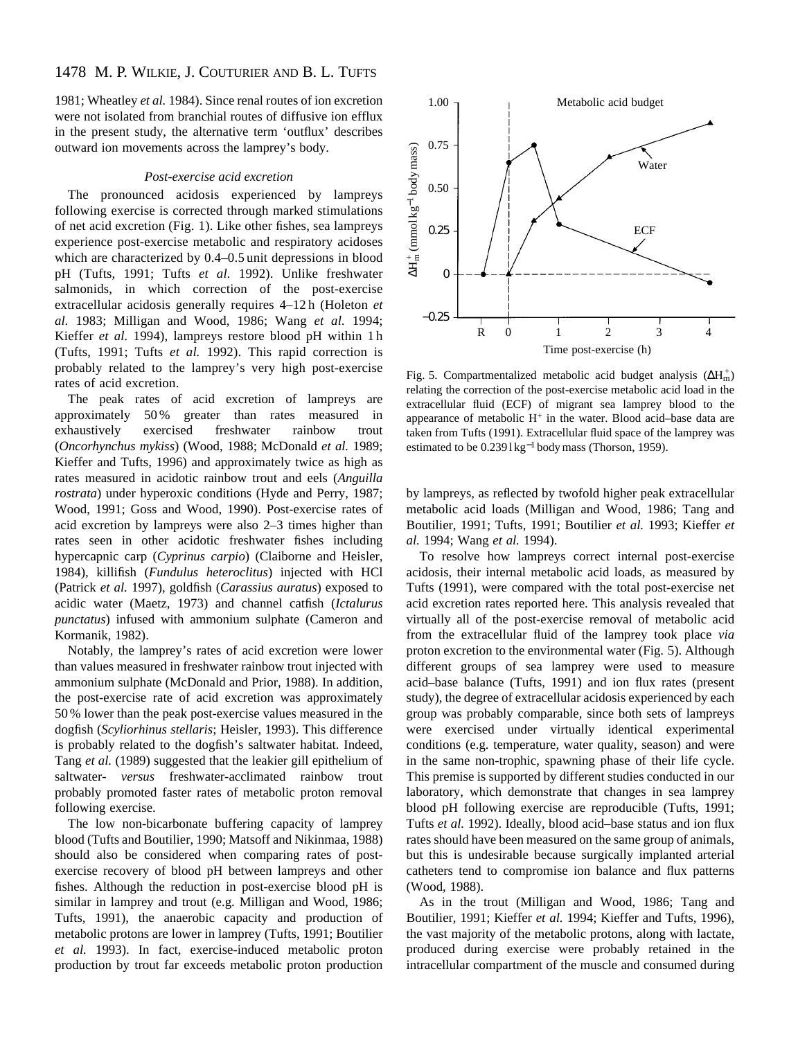1981; Wheatley *et al.* 1984). Since renal routes of ion excretion were not isolated from branchial routes of diffusive ion efflux in the present study, the alternative term 'outflux' describes outward ion movements across the lamprey's body.

## *Post-exercise acid excretion*

The pronounced acidosis experienced by lampreys following exercise is corrected through marked stimulations of net acid excretion (Fig. 1). Like other fishes, sea lampreys experience post-exercise metabolic and respiratory acidoses which are characterized by 0.4–0.5 unit depressions in blood pH (Tufts, 1991; Tufts *et al.* 1992). Unlike freshwater salmonids, in which correction of the post-exercise extracellular acidosis generally requires 4–12 h (Holeton *et al.* 1983; Milligan and Wood, 1986; Wang *et al.* 1994; Kieffer *et al.* 1994), lampreys restore blood pH within 1 h (Tufts, 1991; Tufts *et al.* 1992). This rapid correction is probably related to the lamprey's very high post-exercise rates of acid excretion.

The peak rates of acid excretion of lampreys are approximately 50 % greater than rates measured in exhaustively exercised freshwater rainbow trout (*Oncorhynchus mykiss*) (Wood, 1988; McDonald *et al.* 1989; Kieffer and Tufts, 1996) and approximately twice as high as rates measured in acidotic rainbow trout and eels (*Anguilla rostrata*) under hyperoxic conditions (Hyde and Perry, 1987; Wood, 1991; Goss and Wood, 1990). Post-exercise rates of acid excretion by lampreys were also 2–3 times higher than rates seen in other acidotic freshwater fishes including hypercapnic carp (*Cyprinus carpio*) (Claiborne and Heisler, 1984), killifish (*Fundulus heteroclitus*) injected with HCl (Patrick *et al.* 1997), goldfish (*Carassius auratus*) exposed to acidic water (Maetz, 1973) and channel catfish (*Ictalurus punctatus*) infused with ammonium sulphate (Cameron and Kormanik, 1982).

Notably, the lamprey's rates of acid excretion were lower than values measured in freshwater rainbow trout injected with ammonium sulphate (McDonald and Prior, 1988). In addition, the post-exercise rate of acid excretion was approximately 50 % lower than the peak post-exercise values measured in the dogfish (*Scyliorhinus stellaris*; Heisler, 1993). This difference is probably related to the dogfish's saltwater habitat. Indeed, Tang *et al.* (1989) suggested that the leakier gill epithelium of saltwater- *versus* freshwater-acclimated rainbow trout probably promoted faster rates of metabolic proton removal following exercise.

The low non-bicarbonate buffering capacity of lamprey blood (Tufts and Boutilier, 1990; Matsoff and Nikinmaa, 1988) should also be considered when comparing rates of postexercise recovery of blood pH between lampreys and other fishes. Although the reduction in post-exercise blood pH is similar in lamprey and trout (e.g. Milligan and Wood, 1986; Tufts, 1991), the anaerobic capacity and production of metabolic protons are lower in lamprey (Tufts, 1991; Boutilier *et al.* 1993). In fact, exercise-induced metabolic proton production by trout far exceeds metabolic proton production



Fig. 5. Compartmentalized metabolic acid budget analysis  $(\Delta H_m^+)$ relating the correction of the post-exercise metabolic acid load in the extracellular fluid (ECF) of migrant sea lamprey blood to the appearance of metabolic  $H^+$  in the water. Blood acid–base data are taken from Tufts (1991). Extracellular fluid space of the lamprey was estimated to be  $0.2391 \text{kg}^{-1}$  body mass (Thorson, 1959).

by lampreys, as reflected by twofold higher peak extracellular metabolic acid loads (Milligan and Wood, 1986; Tang and Boutilier, 1991; Tufts, 1991; Boutilier *et al.* 1993; Kieffer *et al.* 1994; Wang *et al.* 1994).

To resolve how lampreys correct internal post-exercise acidosis, their internal metabolic acid loads, as measured by Tufts (1991), were compared with the total post-exercise net acid excretion rates reported here. This analysis revealed that virtually all of the post-exercise removal of metabolic acid from the extracellular fluid of the lamprey took place *via* proton excretion to the environmental water (Fig. 5). Although different groups of sea lamprey were used to measure acid–base balance (Tufts, 1991) and ion flux rates (present study), the degree of extracellular acidosis experienced by each group was probably comparable, since both sets of lampreys were exercised under virtually identical experimental conditions (e.g. temperature, water quality, season) and were in the same non-trophic, spawning phase of their life cycle. This premise is supported by different studies conducted in our laboratory, which demonstrate that changes in sea lamprey blood pH following exercise are reproducible (Tufts, 1991; Tufts *et al.* 1992). Ideally, blood acid–base status and ion flux rates should have been measured on the same group of animals, but this is undesirable because surgically implanted arterial catheters tend to compromise ion balance and flux patterns (Wood, 1988).

As in the trout (Milligan and Wood, 1986; Tang and Boutilier, 1991; Kieffer *et al.* 1994; Kieffer and Tufts, 1996), the vast majority of the metabolic protons, along with lactate, produced during exercise were probably retained in the intracellular compartment of the muscle and consumed during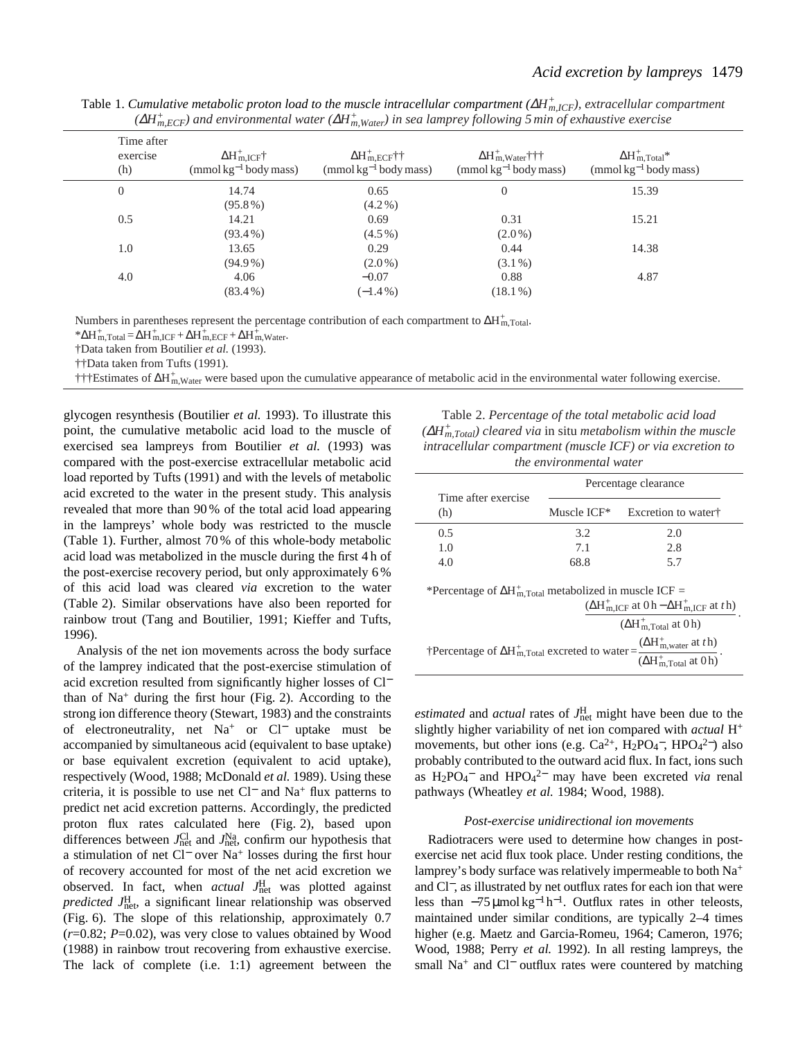| Time after<br>exercise<br>(h) | $\Delta H_{m,ICF}^+$<br>$(mmol \text{ kg}^{-1} \text{ body mass})$ | $\Delta H_{\text{m-ECF}}^+$<br>(mmol $kg^{-1}$ body mass) | $\Delta H_{\text{m,Water}}^+$ †††<br>(mmol $kg^{-1}$ body mass) | $\Delta H_{\text{m.Total}}^{+}$<br>(mmol $kg^{-1}$ body mass) |  |
|-------------------------------|--------------------------------------------------------------------|-----------------------------------------------------------|-----------------------------------------------------------------|---------------------------------------------------------------|--|
| $\theta$                      | 14.74                                                              | 0.65                                                      | $\overline{0}$                                                  | 15.39                                                         |  |
|                               | $(95.8\%)$                                                         | $(4.2\%)$                                                 |                                                                 |                                                               |  |
| 0.5                           | 14.21                                                              | 0.69                                                      | 0.31                                                            | 15.21                                                         |  |
|                               | $(93.4\%)$                                                         | $(4.5\%)$                                                 | $(2.0\%)$                                                       |                                                               |  |
| 1.0                           | 13.65                                                              | 0.29                                                      | 0.44                                                            | 14.38                                                         |  |
|                               | $(94.9\%)$                                                         | $(2.0\%)$                                                 | $(3.1\%)$                                                       |                                                               |  |
| 4.0                           | 4.06                                                               | $-0.07$                                                   | 0.88                                                            | 4.87                                                          |  |
|                               | $(83.4\%)$                                                         | $(-1.4\%)$                                                | $(18.1\%)$                                                      |                                                               |  |

Table 1. *Cumulative metabolic proton load to the muscle intracellular compartment (*∆*H<sup>+</sup> m,ICF), extracellular compartment*  $(\Delta H_{m,ECF}^+)$  and environmental water ( $\Delta H_{m,Water}^+$ ) in sea lamprey following 5 min of exhaustive exercise

Numbers in parentheses represent the percentage contribution of each compartment to  $\Delta H_{m,Total}^+$ .

 $* \Delta H_{m,Total}^+ = \Delta H_{m,ICF}^+ + \Delta H_{m,ECF}^+ + \Delta H_{m,Water}^+$ .

†Data taken from Boutilier *et al.* (1993).

††Data taken from Tufts (1991).

†††Estimates of ∆H<sup>+</sup><sub>m,Water</sub> were based upon the cumulative appearance of metabolic acid in the environmental water following exercise.

glycogen resynthesis (Boutilier *et al.* 1993). To illustrate this point, the cumulative metabolic acid load to the muscle of exercised sea lampreys from Boutilier *et al.* (1993) was compared with the post-exercise extracellular metabolic acid load reported by Tufts (1991) and with the levels of metabolic acid excreted to the water in the present study. This analysis revealed that more than 90 % of the total acid load appearing in the lampreys' whole body was restricted to the muscle (Table 1). Further, almost 70 % of this whole-body metabolic acid load was metabolized in the muscle during the first 4 h of the post-exercise recovery period, but only approximately 6 % of this acid load was cleared *via* excretion to the water (Table 2). Similar observations have also been reported for rainbow trout (Tang and Boutilier, 1991; Kieffer and Tufts, 1996).

Analysis of the net ion movements across the body surface of the lamprey indicated that the post-exercise stimulation of acid excretion resulted from significantly higher losses of Cl<sup>−</sup> than of  $Na<sup>+</sup>$  during the first hour (Fig. 2). According to the strong ion difference theory (Stewart, 1983) and the constraints of electroneutrality, net Na+ or Cl<sup>−</sup> uptake must be accompanied by simultaneous acid (equivalent to base uptake) or base equivalent excretion (equivalent to acid uptake), respectively (Wood, 1988; McDonald *et al.* 1989). Using these criteria, it is possible to use net Cl<sup>−</sup> and Na+ flux patterns to predict net acid excretion patterns. Accordingly, the predicted proton flux rates calculated here (Fig. 2), based upon differences between  $J_{\text{net}}^{\text{Cl}}$  and  $J_{\text{net}}^{\text{Na}}$  confirm our hypothesis that a stimulation of net Cl<sup>−</sup> over Na<sup>+</sup> losses during the first hour of recovery accounted for most of the net acid excretion we observed. In fact, when *actual* J<sup>H</sup><sub>net</sub> was plotted against *predicted J*H<sub>net</sub>, a significant linear relationship was observed (Fig. 6). The slope of this relationship, approximately 0.7 (*r*=0.82; *P*=0.02), was very close to values obtained by Wood (1988) in rainbow trout recovering from exhaustive exercise. The lack of complete (i.e. 1:1) agreement between the

Table 2. *Percentage of the total metabolic acid load (*∆*H<sup>+</sup> m,Total) cleared via* in situ *metabolism within the muscle intracellular compartment (muscle ICF) or via excretion to the environmental water*

|                            | Percentage clearance |                                                         |  |
|----------------------------|----------------------|---------------------------------------------------------|--|
| Time after exercise<br>(h) |                      | Muscle ICF <sup>*</sup> Excretion to water <sup>†</sup> |  |
| 0.5                        | 3.2                  | 2.0                                                     |  |
| 1.0                        | 7.1                  | 2.8                                                     |  |
| 4.0                        | 68.8                 | 5.7                                                     |  |

\*Percentage of  $\Delta H_{m,Total}^+$  metabolized in muscle ICF =

|                                                                                                 | $(\Delta H_{\text{m.ICF}}^{+}$ at $0 h - \Delta H_{\text{m.ICF}}^{+}$ at th)<br>$(\Delta H_{m,Total}^+$ at 0 h) |  |
|-------------------------------------------------------------------------------------------------|-----------------------------------------------------------------------------------------------------------------|--|
|                                                                                                 |                                                                                                                 |  |
| $\uparrow$ Percentage of $\Delta H_{m,Total}^+$ excreted to water = $\frac{\sqrt{m}}{\sqrt{m}}$ | $(\Delta H_{m,water}^+$ at th)                                                                                  |  |
|                                                                                                 | $(\Delta H_{m,Total}^+$ at 0 h)                                                                                 |  |

*estimated* and *actual* rates of  $J_{\text{net}}^H$  might have been due to the slightly higher variability of net ion compared with *actual* H<sup>+</sup> movements, but other ions (e.g.  $Ca^{2+}$ ,  $H_2PO_4^-$ ,  $HPO_4^{2-}$ ) also probably contributed to the outward acid flux. In fact, ions such as  $H_2PO_4^-$  and  $HPO_4^{2-}$  may have been excreted *via* renal pathways (Wheatley *et al.* 1984; Wood, 1988).

# *Post-exercise unidirectional ion movements*

Radiotracers were used to determine how changes in postexercise net acid flux took place. Under resting conditions, the lamprey's body surface was relatively impermeable to both Na<sup>+</sup> and Cl−, as illustrated by net outflux rates for each ion that were less than  $-75 \mu$ mol kg<sup>-1</sup>h<sup>-1</sup>. Outflux rates in other teleosts, maintained under similar conditions, are typically 2–4 times higher (e.g. Maetz and Garcia-Romeu, 1964; Cameron, 1976; Wood, 1988; Perry *et al.* 1992). In all resting lampreys, the small Na<sup>+</sup> and Cl<sup>−</sup> outflux rates were countered by matching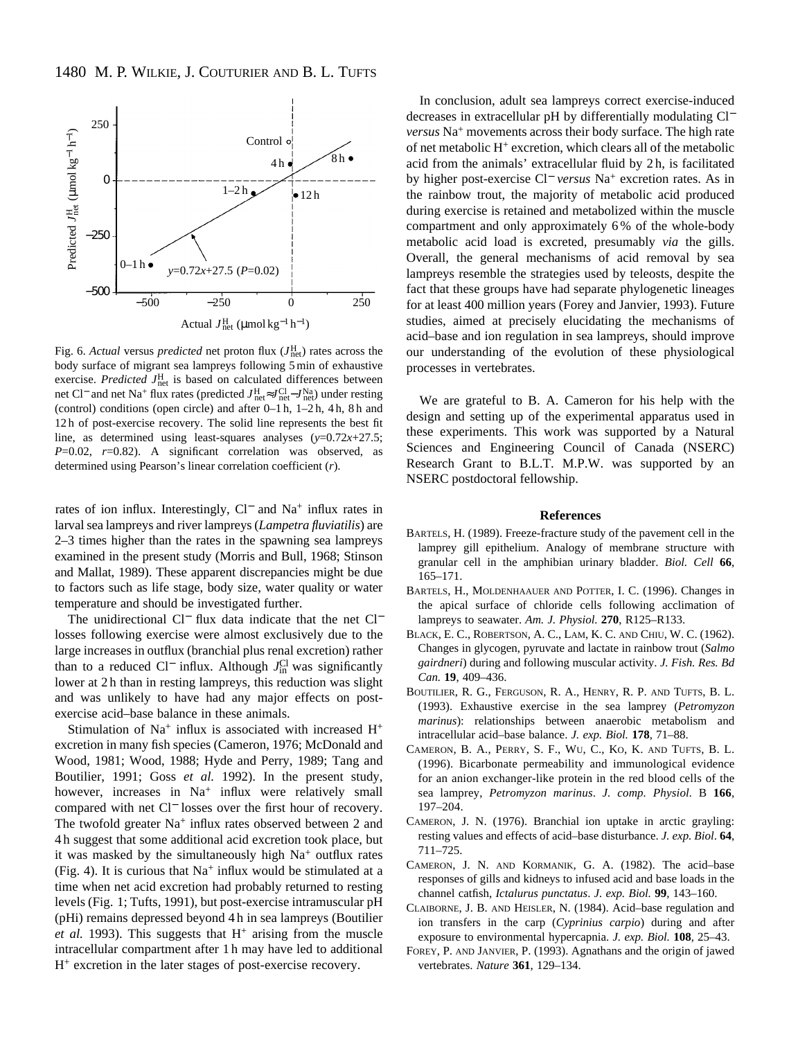

Fig. 6. *Actual* versus *predicted* net proton flux ( $J_{\text{net}}^{\text{H}}$ ) rates across the body surface of migrant sea lampreys following 5 min of exhaustive exercise. *Predicted*  $J_{\text{net}}^{\text{H}}$  is based on calculated differences between net Cl<sup>−</sup> and net Na<sup>+</sup> flux rates (predicted *J*<sup>H</sup> net≈*J*Cl net−*J*Na net) under resting (control) conditions (open circle) and after  $0-1$  h,  $1-2$  h, 4 h, 8 h and 12 h of post-exercise recovery. The solid line represents the best fit line, as determined using least-squares analyses (*y*=0.72*x*+27.5; *P*=0.02, *r*=0.82). A significant correlation was observed, as determined using Pearson's linear correlation coefficient (*r*).

rates of ion influx. Interestingly, Cl<sup>−</sup> and Na+ influx rates in larval sea lampreys and river lampreys (*Lampetra fluviatilis*) are 2–3 times higher than the rates in the spawning sea lampreys examined in the present study (Morris and Bull, 1968; Stinson and Mallat, 1989). These apparent discrepancies might be due to factors such as life stage, body size, water quality or water temperature and should be investigated further.

The unidirectional Cl<sup>−</sup> flux data indicate that the net Cl<sup>−</sup> losses following exercise were almost exclusively due to the large increases in outflux (branchial plus renal excretion) rather than to a reduced Cl<sup>−</sup> influx. Although  $J_{\text{in}}^{\text{Cl}}$  was significantly lower at 2 h than in resting lampreys, this reduction was slight and was unlikely to have had any major effects on postexercise acid–base balance in these animals.

Stimulation of  $Na<sup>+</sup>$  influx is associated with increased  $H<sup>+</sup>$ excretion in many fish species (Cameron, 1976; McDonald and Wood, 1981; Wood, 1988; Hyde and Perry, 1989; Tang and Boutilier, 1991; Goss *et al.* 1992). In the present study, however, increases in  $Na<sup>+</sup>$  influx were relatively small compared with net Cl<sup>−</sup> losses over the first hour of recovery. The twofold greater  $Na<sup>+</sup>$  influx rates observed between 2 and 4 h suggest that some additional acid excretion took place, but it was masked by the simultaneously high Na<sup>+</sup> outflux rates (Fig. 4). It is curious that  $Na^+$  influx would be stimulated at a time when net acid excretion had probably returned to resting levels (Fig. 1; Tufts, 1991), but post-exercise intramuscular pH (pHi) remains depressed beyond 4 h in sea lampreys (Boutilier *et al.* 1993). This suggests that  $H^+$  arising from the muscle intracellular compartment after 1 h may have led to additional H<sup>+</sup> excretion in the later stages of post-exercise recovery.

In conclusion, adult sea lampreys correct exercise-induced decreases in extracellular pH by differentially modulating Cl<sup>−</sup> *versus* Na+ movements across their body surface. The high rate of net metabolic  $H^+$  excretion, which clears all of the metabolic acid from the animals' extracellular fluid by 2 h, is facilitated by higher post-exercise Cl<sup>−</sup> *versus* Na+ excretion rates. As in the rainbow trout, the majority of metabolic acid produced during exercise is retained and metabolized within the muscle compartment and only approximately 6 % of the whole-body metabolic acid load is excreted, presumably *via* the gills. Overall, the general mechanisms of acid removal by sea lampreys resemble the strategies used by teleosts, despite the fact that these groups have had separate phylogenetic lineages for at least 400 million years (Forey and Janvier, 1993). Future studies, aimed at precisely elucidating the mechanisms of acid–base and ion regulation in sea lampreys, should improve our understanding of the evolution of these physiological processes in vertebrates.

We are grateful to B. A. Cameron for his help with the design and setting up of the experimental apparatus used in these experiments. This work was supported by a Natural Sciences and Engineering Council of Canada (NSERC) Research Grant to B.L.T. M.P.W. was supported by an NSERC postdoctoral fellowship.

#### **References**

- BARTELS, H. (1989). Freeze-fracture study of the pavement cell in the lamprey gill epithelium. Analogy of membrane structure with granular cell in the amphibian urinary bladder. *Biol. Cell* **66**, 165–171.
- BARTELS, H., MOLDENHAAUER AND POTTER, I. C. (1996). Changes in the apical surface of chloride cells following acclimation of lampreys to seawater. *Am. J. Physiol.* **270**, R125–R133.
- BLACK, E. C., ROBERTSON, A. C., LAM, K. C. AND CHIU, W. C. (1962). Changes in glycogen, pyruvate and lactate in rainbow trout (*Salmo gairdneri*) during and following muscular activity. *J. Fish. Res. Bd Can.* **19**, 409–436.
- BOUTILIER, R. G., FERGUSON, R. A., HENRY, R. P. AND TUFTS, B. L. (1993). Exhaustive exercise in the sea lamprey (*Petromyzon marinus*): relationships between anaerobic metabolism and intracellular acid–base balance. *J. exp. Biol.* **178**, 71–88.
- CAMERON, B. A., PERRY, S. F., WU, C., KO, K. AND TUFTS, B. L. (1996). Bicarbonate permeability and immunological evidence for an anion exchanger-like protein in the red blood cells of the sea lamprey, *Petromyzon marinus*. *J. comp. Physiol.* B **166**, 197–204.
- CAMERON, J. N. (1976). Branchial ion uptake in arctic grayling: resting values and effects of acid–base disturbance. *J. exp. Biol*. **64**, 711–725.
- CAMERON, J. N. AND KORMANIK, G. A. (1982). The acid–base responses of gills and kidneys to infused acid and base loads in the channel catfish, *Ictalurus punctatus*. *J. exp. Biol.* **99**, 143–160.
- CLAIBORNE, J. B. AND HEISLER, N. (1984). Acid–base regulation and ion transfers in the carp (*Cyprinius carpio*) during and after exposure to environmental hypercapnia. *J. exp. Biol.* **108**, 25–43.
- FOREY, P. AND JANVIER, P. (1993). Agnathans and the origin of jawed vertebrates. *Nature* **361**, 129–134.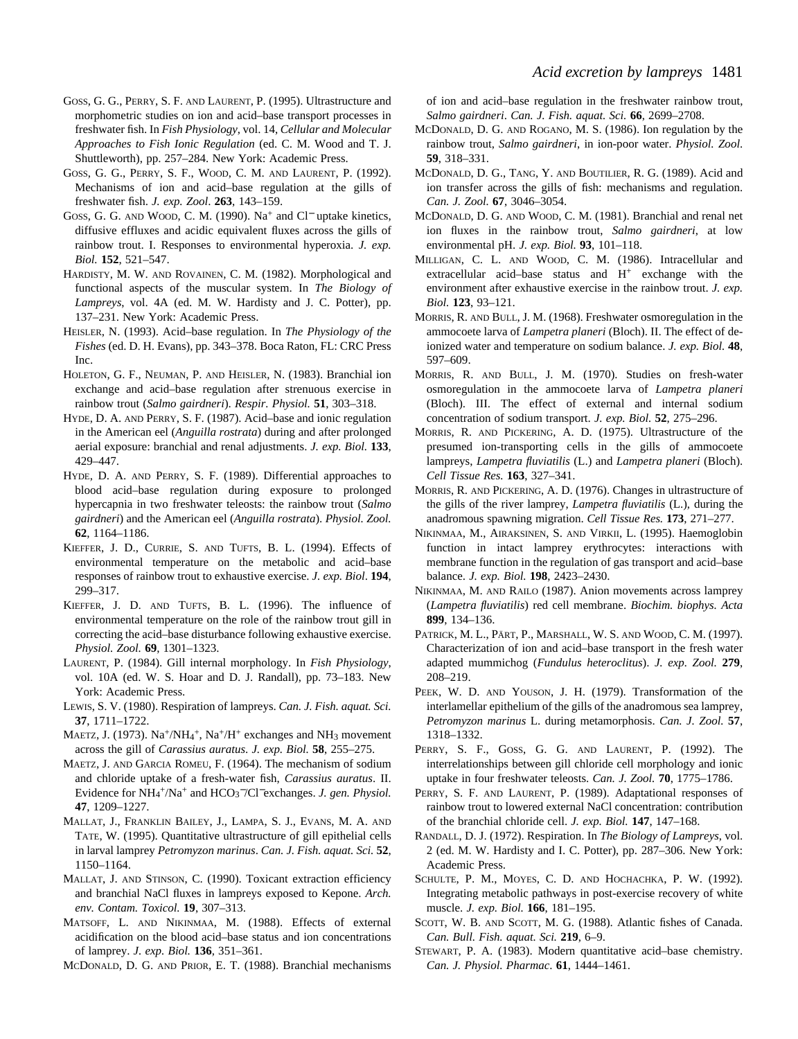- GOSS, G. G., PERRY, S. F. AND LAURENT, P. (1995). Ultrastructure and morphometric studies on ion and acid–base transport processes in freshwater fish. In *Fish Physiology*, vol. 14, *Cellular and Molecular Approaches to Fish Ionic Regulation* (ed. C. M. Wood and T. J. Shuttleworth), pp. 257–284. New York: Academic Press.
- GOSS, G. G., PERRY, S. F., WOOD, C. M. AND LAURENT, P. (1992). Mechanisms of ion and acid–base regulation at the gills of freshwater fish. *J. exp. Zool*. **263**, 143–159.
- Goss, G. G. AND WOOD, C. M. (1990). Na<sup>+</sup> and Cl<sup>−</sup> uptake kinetics, diffusive effluxes and acidic equivalent fluxes across the gills of rainbow trout. I. Responses to environmental hyperoxia. *J. exp. Biol.* **152**, 521–547.
- HARDISTY, M. W. AND ROVAINEN, C. M. (1982). Morphological and functional aspects of the muscular system. In *The Biology of Lampreys*, vol. 4A (ed. M. W. Hardisty and J. C. Potter), pp. 137–231. New York: Academic Press.
- HEISLER, N. (1993). Acid–base regulation. In *The Physiology of the Fishes* (ed. D. H. Evans), pp. 343–378. Boca Raton, FL: CRC Press Inc.
- HOLETON, G. F., NEUMAN, P. AND HEISLER, N. (1983). Branchial ion exchange and acid–base regulation after strenuous exercise in rainbow trout (*Salmo gairdneri*). *Respir. Physiol.* **51**, 303–318.
- HYDE, D. A. AND PERRY, S. F. (1987). Acid–base and ionic regulation in the American eel (*Anguilla rostrata*) during and after prolonged aerial exposure: branchial and renal adjustments. *J. exp. Biol.* **133**, 429–447.
- HYDE, D. A. AND PERRY, S. F. (1989). Differential approaches to blood acid–base regulation during exposure to prolonged hypercapnia in two freshwater teleosts: the rainbow trout (*Salmo gairdneri*) and the American eel (*Anguilla rostrata*). *Physiol. Zool.* **62**, 1164–1186.
- KIEFFER, J. D., CURRIE, S. AND TUFTS, B. L. (1994). Effects of environmental temperature on the metabolic and acid–base responses of rainbow trout to exhaustive exercise. *J. exp. Biol*. **194**, 299–317.
- KIEFFER, J. D. AND TUFTS, B. L. (1996). The influence of environmental temperature on the role of the rainbow trout gill in correcting the acid–base disturbance following exhaustive exercise. *Physiol. Zool.* **69**, 1301–1323.
- LAURENT, P. (1984). Gill internal morphology. In *Fish Physiology*, vol. 10A (ed. W. S. Hoar and D. J. Randall), pp. 73–183. New York: Academic Press.
- LEWIS, S. V. (1980). Respiration of lampreys. *Can. J. Fish. aquat. Sci.* **37**, 1711–1722.
- MAETZ, J. (1973).  $Na^{+}/NH_{4}^{+}$ ,  $Na^{+}/H^{+}$  exchanges and  $NH_{3}$  movement across the gill of *Carassius auratus*. *J. exp. Biol.* **58**, 255–275.
- MAETZ, J. AND GARCIA ROMEU, F. (1964). The mechanism of sodium and chloride uptake of a fresh-water fish, *Carassius auratus*. II. Evidence for NH<sub>4</sub><sup>+</sup>/Na<sup>+</sup> and HCO<sub>3</sub><sup>−</sup>/Cl<sup>−</sup>exchanges. *J. gen. Physiol.* **47**, 1209–1227.
- MALLAT, J., FRANKLIN BAILEY, J., LAMPA, S. J., EVANS, M. A. AND TATE, W. (1995). Quantitative ultrastructure of gill epithelial cells in larval lamprey *Petromyzon marinus*. *Can. J. Fish. aquat. Sci.* **52**, 1150–1164.
- MALLAT, J. AND STINSON, C. (1990). Toxicant extraction efficiency and branchial NaCl fluxes in lampreys exposed to Kepone. *Arch. env. Contam. Toxicol.* **19**, 307–313.
- MATSOFF, L. AND NIKINMAA, M. (1988). Effects of external acidification on the blood acid–base status and ion concentrations of lamprey. *J. exp. Biol.* **136**, 351–361.

MCDONALD, D. G. AND PRIOR, E. T. (1988). Branchial mechanisms

of ion and acid–base regulation in the freshwater rainbow trout, *Salmo gairdneri*. *Can. J. Fish. aquat. Sci.* **66**, 2699–2708.

- MCDONALD, D. G. AND ROGANO, M. S. (1986). Ion regulation by the rainbow trout, *Salmo gairdneri*, in ion-poor water. *Physiol. Zool*. **59**, 318–331.
- MCDONALD, D. G., TANG, Y. AND BOUTILIER, R. G. (1989). Acid and ion transfer across the gills of fish: mechanisms and regulation. *Can. J. Zool.* **67**, 3046–3054.
- MCDONALD, D. G. AND WOOD, C. M. (1981). Branchial and renal net ion fluxes in the rainbow trout, *Salmo gairdneri*, at low environmental pH. *J. exp. Biol.* **93**, 101–118.
- MILLIGAN, C. L. AND WOOD, C. M. (1986). Intracellular and extracellular acid–base status and H<sup>+</sup> exchange with the environment after exhaustive exercise in the rainbow trout. *J. exp. Biol.* **123**, 93–121.
- MORRIS, R. AND BULL, J. M. (1968). Freshwater osmoregulation in the ammocoete larva of *Lampetra planeri* (Bloch). II. The effect of deionized water and temperature on sodium balance. *J. exp. Biol.* **48**, 597–609.
- MORRIS, R. AND BULL, J. M. (1970). Studies on fresh-water osmoregulation in the ammocoete larva of *Lampetra planeri* (Bloch). III. The effect of external and internal sodium concentration of sodium transport. *J. exp. Biol.* **52**, 275–296.
- MORRIS, R. AND PICKERING, A. D. (1975). Ultrastructure of the presumed ion-transporting cells in the gills of ammocoete lampreys, *Lampetra fluviatilis* (L.) and *Lampetra planeri* (Bloch). *Cell Tissue Res.* **163**, 327–341.
- MORRIS, R. AND PICKERING, A. D. (1976). Changes in ultrastructure of the gills of the river lamprey, *Lampetra fluviatilis* (L.), during the anadromous spawning migration. *Cell Tissue Res.* **173**, 271–277.
- NIKINMAA, M., AIRAKSINEN, S. AND VIRKII, L. (1995). Haemoglobin function in intact lamprey erythrocytes: interactions with membrane function in the regulation of gas transport and acid–base balance. *J. exp. Biol.* **198**, 2423–2430.
- NIKINMAA, M. AND RAILO (1987). Anion movements across lamprey (*Lampetra fluviatilis*) red cell membrane. *Biochim. biophys. Acta* **899**, 134–136.
- PATRICK, M. L., PÄRT, P., MARSHALL, W. S. AND WOOD, C. M. (1997). Characterization of ion and acid–base transport in the fresh water adapted mummichog (*Fundulus heteroclitus*). *J. exp. Zool.* **279**, 208–219.
- PEEK, W. D. AND YOUSON, J. H. (1979). Transformation of the interlamellar epithelium of the gills of the anadromous sea lamprey, *Petromyzon marinus* L. during metamorphosis. *Can. J. Zool.* **57**, 1318–1332.
- PERRY, S. F., GOSS, G. G. AND LAURENT, P. (1992). The interrelationships between gill chloride cell morphology and ionic uptake in four freshwater teleosts. *Can. J. Zool.* **70**, 1775–1786.
- PERRY, S. F. AND LAURENT, P. (1989). Adaptational responses of rainbow trout to lowered external NaCl concentration: contribution of the branchial chloride cell. *J. exp. Biol.* **147**, 147–168.
- RANDALL, D. J. (1972). Respiration. In *The Biology of Lampreys*, vol. 2 (ed. M. W. Hardisty and I. C. Potter), pp. 287–306. New York: Academic Press.
- SCHULTE, P. M., MOYES, C. D. AND HOCHACHKA, P. W. (1992). Integrating metabolic pathways in post-exercise recovery of white muscle. *J. exp. Biol.* **166**, 181–195.
- SCOTT, W. B. AND SCOTT, M. G. (1988). Atlantic fishes of Canada. *Can. Bull. Fish. aquat. Sci.* **219**, 6–9.
- STEWART, P. A. (1983). Modern quantitative acid–base chemistry. *Can. J. Physiol. Pharmac*. **61**, 1444–1461.